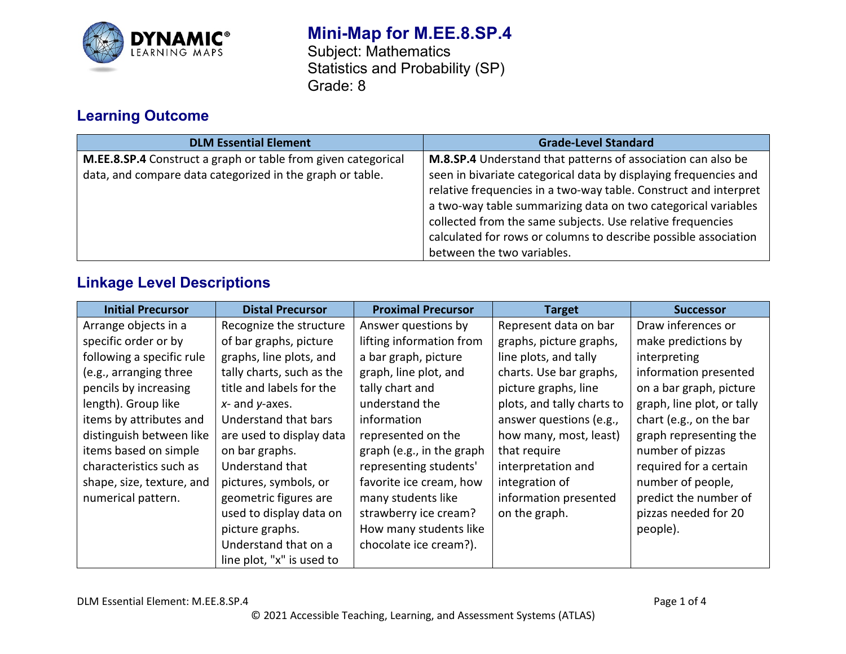

# **Mini-Map for M.EE.8.SP.4**

Subject: Mathematics Statistics and Probability (SP) Grade: 8

# **Learning Outcome**

| <b>DLM Essential Element</b>                                                                                               | <b>Grade-Level Standard</b>                                                                                                                                                                                                                                                                                                                                                                                                          |
|----------------------------------------------------------------------------------------------------------------------------|--------------------------------------------------------------------------------------------------------------------------------------------------------------------------------------------------------------------------------------------------------------------------------------------------------------------------------------------------------------------------------------------------------------------------------------|
| M.EE.8.SP.4 Construct a graph or table from given categorical<br>data, and compare data categorized in the graph or table. | M.8.SP.4 Understand that patterns of association can also be<br>seen in bivariate categorical data by displaying frequencies and<br>relative frequencies in a two-way table. Construct and interpret<br>a two-way table summarizing data on two categorical variables<br>collected from the same subjects. Use relative frequencies<br>calculated for rows or columns to describe possible association<br>between the two variables. |

## **Linkage Level Descriptions**

| <b>Initial Precursor</b>  | <b>Distal Precursor</b>   | <b>Proximal Precursor</b> | <b>Target</b>              | <b>Successor</b>           |
|---------------------------|---------------------------|---------------------------|----------------------------|----------------------------|
| Arrange objects in a      | Recognize the structure   | Answer questions by       | Represent data on bar      | Draw inferences or         |
| specific order or by      | of bar graphs, picture    | lifting information from  | graphs, picture graphs,    | make predictions by        |
| following a specific rule | graphs, line plots, and   | a bar graph, picture      | line plots, and tally      | interpreting               |
| (e.g., arranging three    | tally charts, such as the | graph, line plot, and     | charts. Use bar graphs,    | information presented      |
| pencils by increasing     | title and labels for the  | tally chart and           | picture graphs, line       | on a bar graph, picture    |
| length). Group like       | $x$ - and $y$ -axes.      | understand the            | plots, and tally charts to | graph, line plot, or tally |
| items by attributes and   | Understand that bars      | information               | answer questions (e.g.,    | chart (e.g., on the bar    |
| distinguish between like  | are used to display data  | represented on the        | how many, most, least)     | graph representing the     |
| items based on simple     | on bar graphs.            | graph (e.g., in the graph | that require               | number of pizzas           |
| characteristics such as   | Understand that           | representing students'    | interpretation and         | required for a certain     |
| shape, size, texture, and | pictures, symbols, or     | favorite ice cream, how   | integration of             | number of people,          |
| numerical pattern.        | geometric figures are     | many students like        | information presented      | predict the number of      |
|                           | used to display data on   | strawberry ice cream?     | on the graph.              | pizzas needed for 20       |
|                           | picture graphs.           | How many students like    |                            | people).                   |
|                           | Understand that on a      | chocolate ice cream?).    |                            |                            |
|                           | line plot, "x" is used to |                           |                            |                            |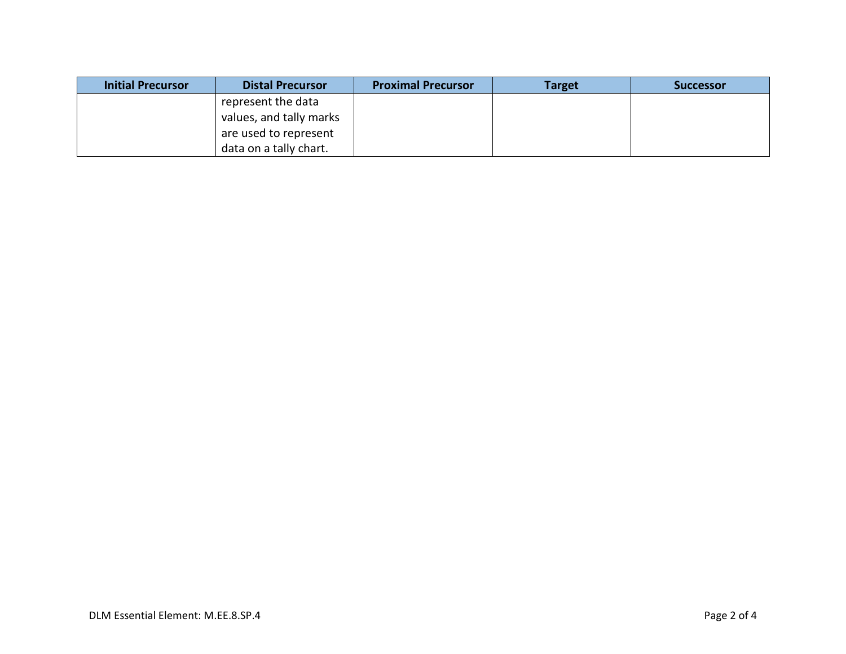| <b>Initial Precursor</b> | <b>Distal Precursor</b> | <b>Proximal Precursor</b> | <b>Target</b> | <b>Successor</b> |
|--------------------------|-------------------------|---------------------------|---------------|------------------|
|                          | represent the data      |                           |               |                  |
|                          | values, and tally marks |                           |               |                  |
|                          | are used to represent   |                           |               |                  |
|                          | data on a tally chart.  |                           |               |                  |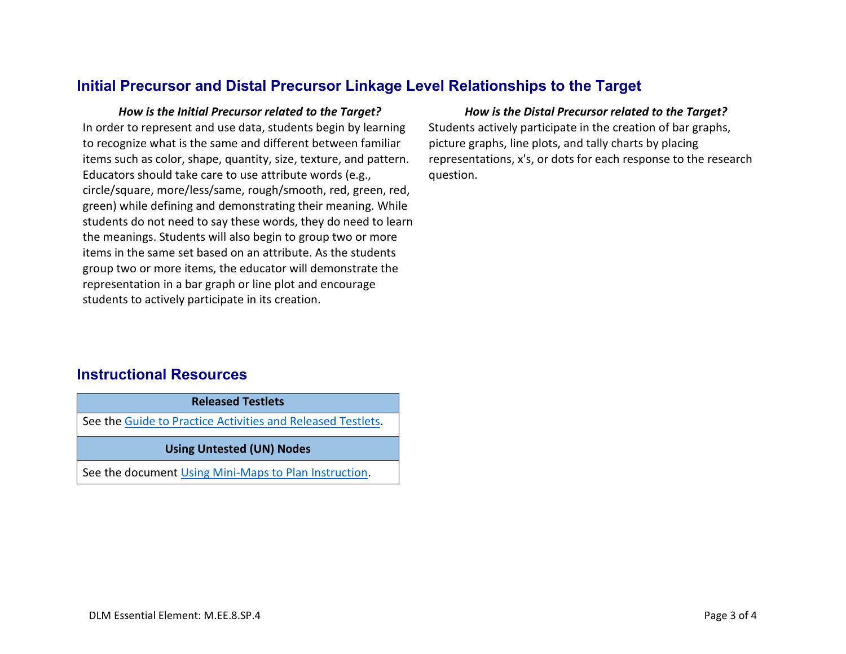### **Initial Precursor and Distal Precursor Linkage Level Relationships to the Target**

*How is the Initial Precursor related to the Target? How is the Distal Precursor related to the Target?* In order to represent and use data, students begin by learning to recognize what is the same and different between familiar items such as color, shape, quantity, size, texture, and pattern. Educators should take care to use attribute words (e.g., circle/square, more/less/same, rough/smooth, red, green, red, green) while defining and demonstrating their meaning. While students do not need to say these words, they do need to learn the meanings. Students will also begin to group two or more items in the same set based on an attribute. As the students group two or more items, the educator will demonstrate the representation in a bar graph or line plot and encourage students to actively participate in its creation.

Students actively participate in the creation of bar graphs, picture graphs, line plots, and tally charts by placing representations, x's, or dots for each response to the research question.

#### **Instructional Resources**

| <b>Released Testlets</b>                                    |  |  |  |  |
|-------------------------------------------------------------|--|--|--|--|
| See the Guide to Practice Activities and Released Testlets. |  |  |  |  |
| <b>Using Untested (UN) Nodes</b>                            |  |  |  |  |
| See the document Using Mini-Maps to Plan Instruction.       |  |  |  |  |
|                                                             |  |  |  |  |